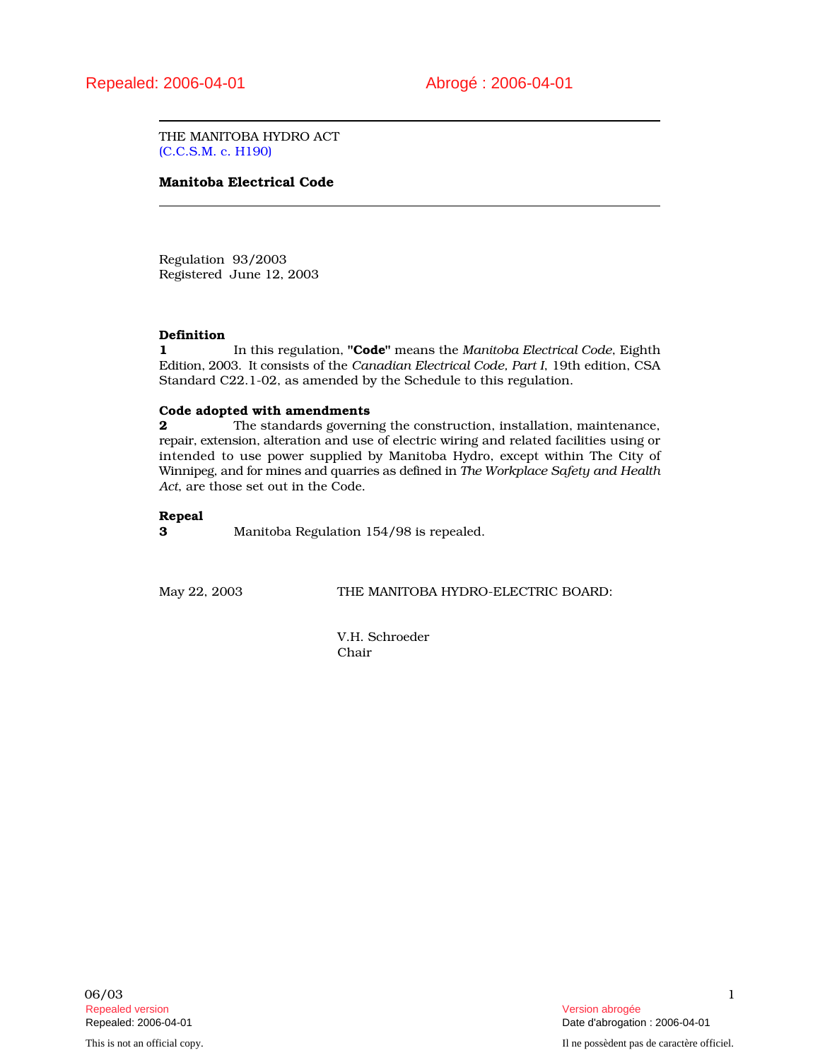THE MANITOBA HYDRO ACT (C.C.S.M. c. H190)

# Manitoba Electrical Code

Regulation 93/2003 Registered June 12, 2003

## Definition

1 In this regulation, "Code" means the *Manitoba Electrical Code*, Eighth Edition, 2003. It consists of the *Canadian Electrical Code, Part I*, 19th edition, CSA Standard C22.1-02, as amended by the Schedule to this regulation.

## Code adopted with amendments

**2** The standards governing the construction, installation, maintenance, repair, extension, alteration and use of electric wiring and related facilities using or intended to use power supplied by Manitoba Hydro, except within The City of Winnipeg, and for mines and quarries as defined in *The Workplace Safety and Health Act*, are those set out in the Code.

# Repeal

3 Manitoba Regulation 154/98 is repealed.

May 22, 2003 THE MANITOBA HYDRO-ELECTRIC BOARD:

V.H. Schroeder Chair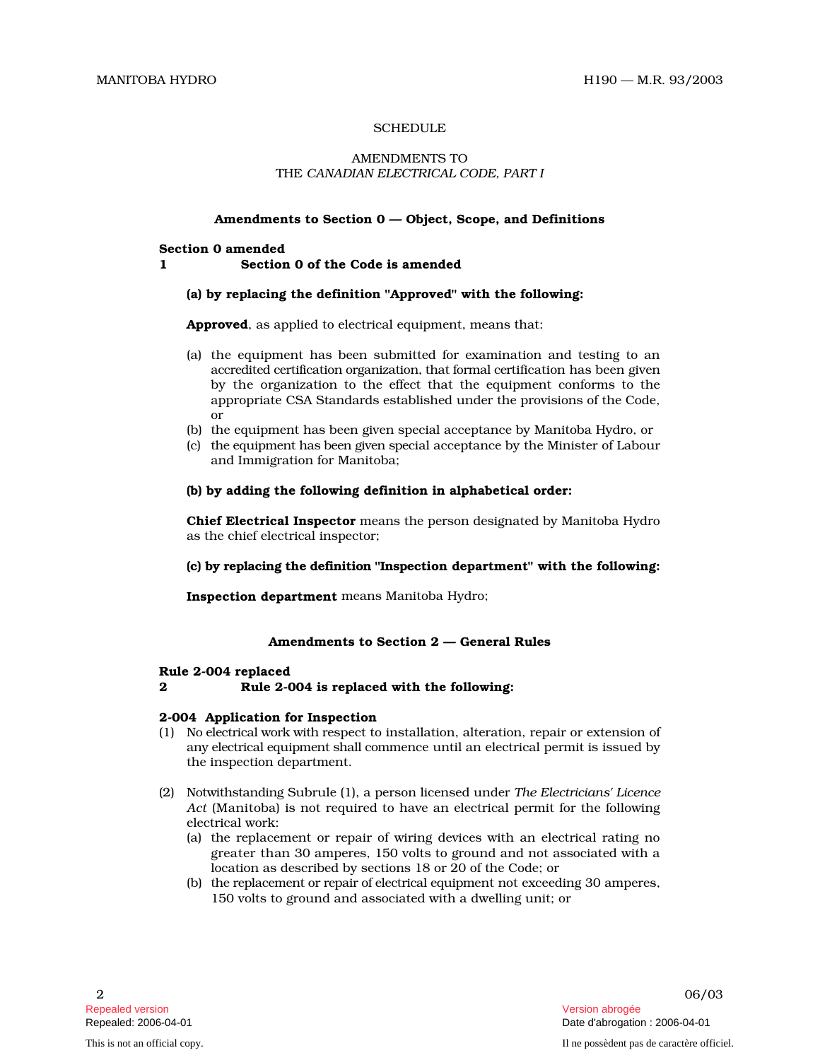## **SCHEDULE**

## AMENDMENTS TO THE *CANADIAN ELECTRICAL CODE, PART I*

## Amendments to Section 0 — Object, Scope, and Definitions

#### Section 0 amended

1 Section 0 of the Code is amended

### (a) by replacing the definition "Approved" with the following:

Approved, as applied to electrical equipment, means that:

- (a) the equipment has been submitted for examination and testing to an accredited certification organization, that formal certification has been given by the organization to the effect that the equipment conforms to the appropriate CSA Standards established under the provisions of the Code, or
- (b) the equipment has been given special acceptance by Manitoba Hydro, or
- (c) the e qu i p m e nt h as been given s p ecial acceptance by the Minister of Labour and Immigration for Manitoba;

#### (b) by adding the following definition in alphabetical order:

**Chief Electrical Inspector** means the person designated by Manitoba Hydro as the chief electrical inspector;

(c) by replacing the definition " I n s pec tion department" with the following:

Inspection department means Manitoba Hydro;

## Amendments to Section 2 — General Rules

#### Rule 2-004 replaced

## 2 Rule 2-004 is replaced with the following:

#### 2-004 Application for Inspection

- (1) No electrical work with respect to installation, alteration, repair or extension of any electrical equipment shall commence until an electrical permit is issued by the inspection department.
- (2) N o twi th s t an d i ng Subrule (1), a person licensed under *The Electricians' Licence* Act (Manitoba) is not required to have an electrical permit for the following electrical work:
	- (a) the replacement or repair of wiring devices with an electrical rating no greater than 30 amperes, 150 volts to ground and not associated with a location as described by sections 18 or 20 of the Code; or
	- (b) the replacement or repair of electrical equipment not exceeding 30 amperes, 150 volts to ground and associated with a dwelling unit; or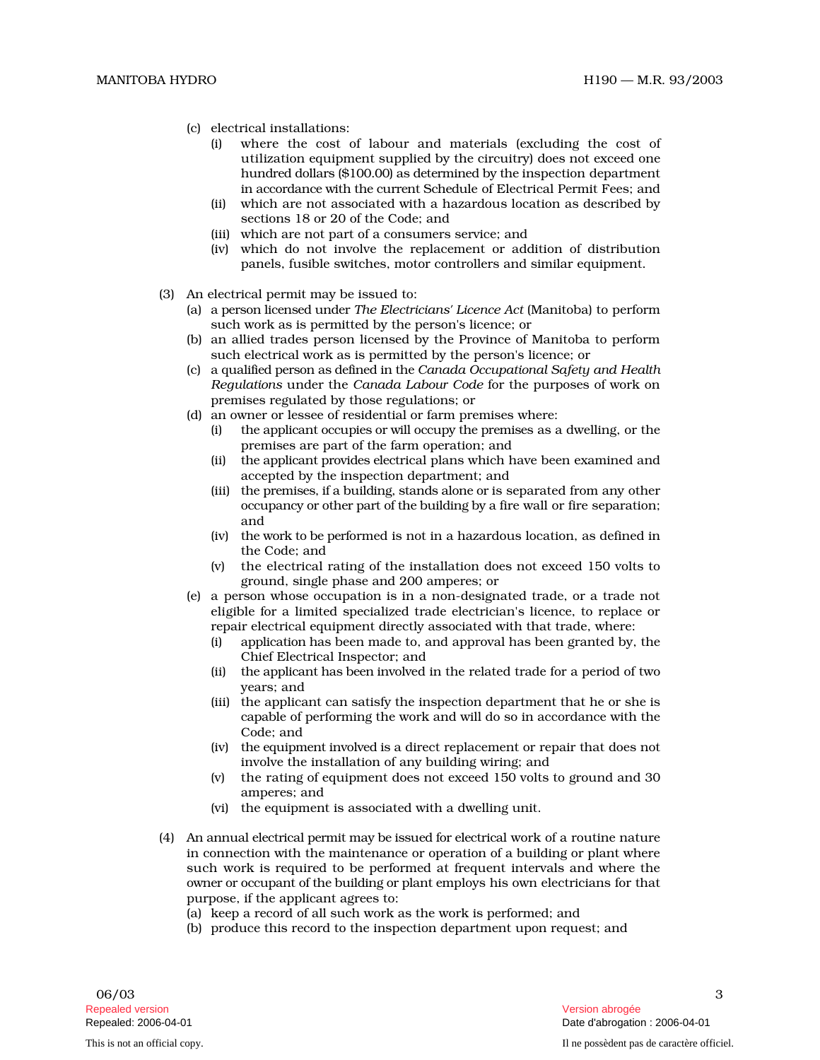- (c) electrical installations:
	- (i) where the cost of labour and materials (excluding the cost of utilization equipment supplied by the circuitry) does not exceed one hundred dollars (\$100.00) as determined by the inspection department in accordance with the current Schedule of Electrical Permit Fees; and
	- (ii) which are not associated with a hazardous location as described by sections 18 or 20 of the Code; and
	- (iii) which are not part of a consumers service; and
	- (iv) which do not involve the replacement or addition of distribution panels, fusible switches, motor controllers and similar equipment.
- (3) An electrical permit may be issued to:
	- (a) a person licensed under The Electricians' Licence Act (Manitoba) to perform such work as is permitted by the person's licence; or
	- (b) an allied trades person licensed by the Province of Manitoba to perform such electrical work as is permitted by the person's licence; or
	- (c) a qu ali fi ed p e r s on as d e fi n ed in the *Canada Occupational Safety and Health* Regulations under the Canada Labour Code for the purposes of work on premises regulated by those regulations; or
	- (d) an owner or lessee of residential or farm premises where:
		- (i) the applicant occupies or will occupy the premises as a dwelling, or the premises are part of the farm operation; and
		- (ii) the applicant provides electrical plans which have been examined and accepted by the inspection department; and
		- (iii) the premises, if a building, stands alone or is separated from any other occ u p an cy or o th er p art of the b uil d i ng by a fire wall or fire separation; and
		- (iv) the wo rk to be p e rformed is not in a hazardous location, as defined in the Code; and
		- (v) the electrical rating of the installation does not exceed 150 volts to ground, single phase and 200 amperes; or
	- (e) a person whose occupation is in a non-designated trade, or a trade not eligible for a limited specialized trade electrician's licence, to replace or repair electrical equipment directly associated with that trade, where:
		- (i) appli c ati on has been made to, and approval has been granted by, the Chief Electrical Inspector; and
		- (ii) the applicant has been involved in the related trade for a period of two years; and
		- (iii) the applicant can satisfy the inspection department that he or she is capable of performing the work and will do so in accordance with the Code; and
		- (iv) the e qu i p m e nt i nvo lved i s a direct replacement or repair that does not involve the installation of any building wiring; and
		- (v) the rating of equipment does not exceed 150 volts to ground and 30 amperes; and
		- (vi) the equipment is associated with a dwelling unit.
- (4) An annual electrical permit may be issued for electrical work of a routine nature in connection with the maintenance or operation of a building or plant where such work is required to be performed at frequent intervals and where the own er or occ u p ant of the b uil d i ng or p l ant employs his own electricians for that purpose, if the applicant agrees to:
	- (a) keep a record of all such work as the work is performed; and
	- (b) produce this record to the inspection department upon request; and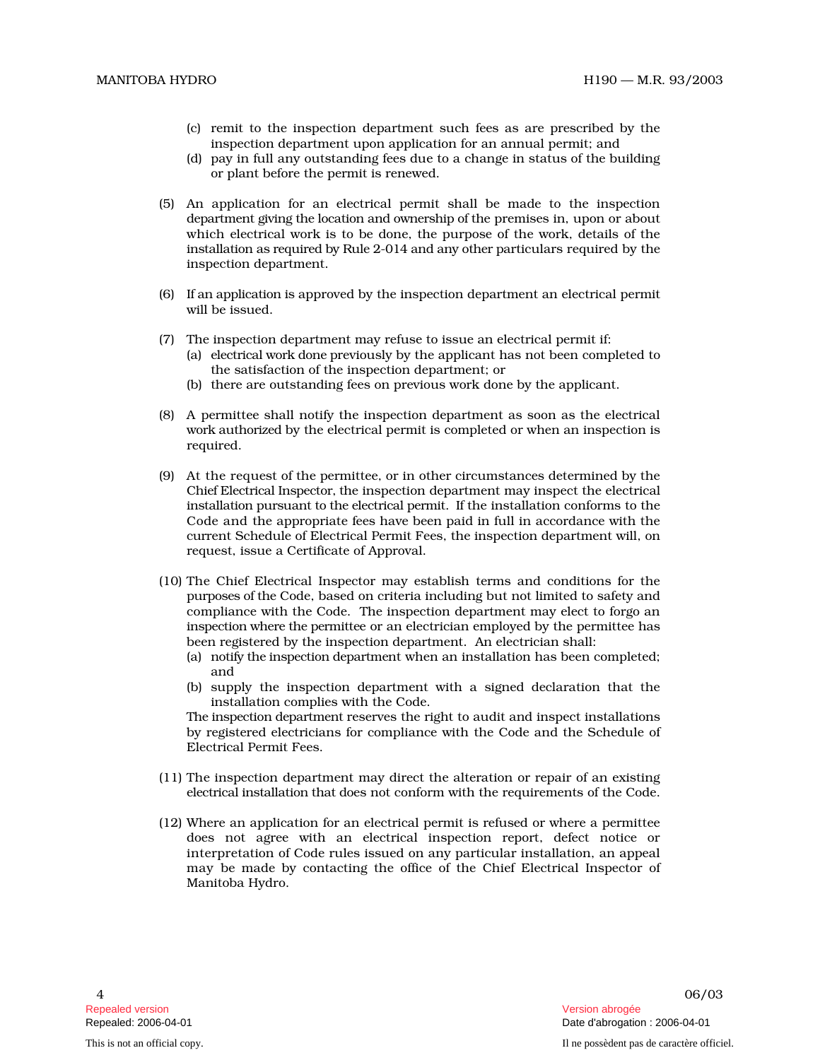- (c) remit to the inspection department such fees as are prescribed by the inspection department upon application for an annual permit; and
- (d) pay in full any outstanding fees due to a change in status of the building or plant before the permit is renewed.
- (5) An application for an electrical permit shall be made to the inspection department giving the location and ownership of the premises in, upon or about which electrical work is to be done, the purpose of the work, details of the installation as required by Rule 2-014 and any other particulars required by the inspection department.
- (6) If an appli c ati on i s approved by the inspection department an electrical permit will be issued.
- (7) The inspection department may refuse to issue an electrical permit if:
	- (a) e lec tri c al wo rk d o ne previously by the applicant has not been completed to the satisfaction of the inspection department; or
	- (b) there are outstanding fees on previous work done by the applicant.
- (8) A permittee shall notify the inspection department as soon as the electrical work authorized by the electrical permit is completed or when an inspection is required.
- (9) At the request of the permittee, or in other circumstances determined by the Chief Electrical Inspector, the inspection department may inspect the electrical installation pursuant to the electrical permit. If the installation conforms to the Code and the appropriate fees have been paid in full in accordance with the c u rrent Schedule of Electrical Permit Fees, the inspection department will, on request, issue a Certificate of Approval.
- (10) The Chief Electrical Inspector may establish terms and conditions for the p u rp oses of th e Code, based on criteria including but not limited to safety and compliance with the Code. The inspection department may elect to forgo an inspection where the permittee or an electrician employed by the permittee has been registered by the inspection department. An electrician shall:
	- (a) notify the inspection department when an installation has been completed; and
	- (b) supply the inspection department with a signed declaration that the installation complies with the Code.

The inspection department reserves the right to audit and inspect installations by registered electricians for compliance with the Code and the Schedule of Electrical Permit Fees.

- (11) The inspection department may direct the alteration or repair of an existing electrical installation that does not conform with the requirements of the Code.
- (12) Where an application for an electrical permit is refused or where a permittee does not agree with an electrical inspection report, defect notice or interpretation of Code rules issued on any particular installation, an appeal may be made by contacting the office of the Chief Electrical Inspector of Manitoba Hydro.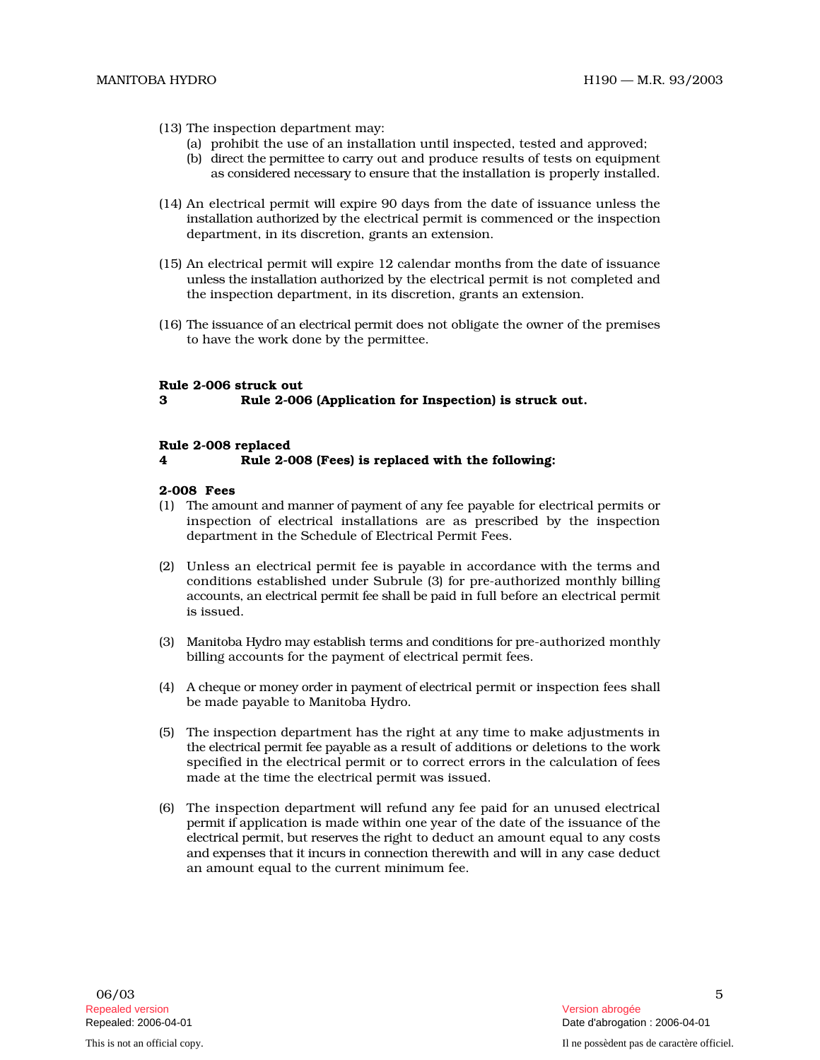- (13) The inspection department may:
	- (a) prohibit the use of an installation until inspected, tested and approved;
	- (b) d i rect the p e rm ittee to c arry out and produce results of tests on equipment as considered necessary to ensure that the installation is properly installed.
- (14) An electrical permit will expire 90 days from the date of issuance unless the i n s t all ati on au th o ri z ed by the electrical permit is commenced or the inspection department, in its discretion, grants an extension.
- (15) An electrical permit will expire 12 calendar months from the date of issuance unless the installation authorized by the electrical permit is not completed and the inspection department, in its discretion, grants an extension.
- (16) The iss u ance of an e lec tri c al p e rm it does not obligate the owner of the premises to have the work done by the permittee.

#### Rule 2-006 struck out

3 Rule 2-006 (Application for Inspection) is struck out.

#### Rule 2-008 replaced

#### 4 Rule 2-008 (Fees) is replaced with the following:

#### 2-008 Fees

- (1) The am o u nt and m ann er of p aym e nt of any fee payable for electrical permits or inspection of electrical installations are as prescribed by the inspection department in the Schedule of Electrical Permit Fees.
- (2) Unless an electrical permit fee is payable in accordance with the terms and conditions established under Subrule (3) for pre-authorized monthly billing acc o u n t s, an e lec tri c al p e rm it fee s h all be paid in full before an electrical permit is issued.
- (3) Manitoba Hydro may establish terms and conditions for pre-authorized monthly billing accounts for the payment of electrical permit fees.
- (4) A cheque or money order in payment of electrical permit or inspection fees shall be made payable to Manitoba Hydro.
- (5) The inspection department has the right at any time to make adjustments in the electrical permit fee payable as a result of additions or deletions to the work specified in the electrical permit or to correct errors in the calculation of fees made at the time the electrical permit was issued.
- (6) The inspection department will refund any fee paid for an unused electrical p e rm it i f application is made within one year of the date of the issuance of the electrical permit, but reserves the right to deduct an amount equal to any costs and expenses that it incurs in connection therewith and will in any case deduct an amount equal to the current minimum fee.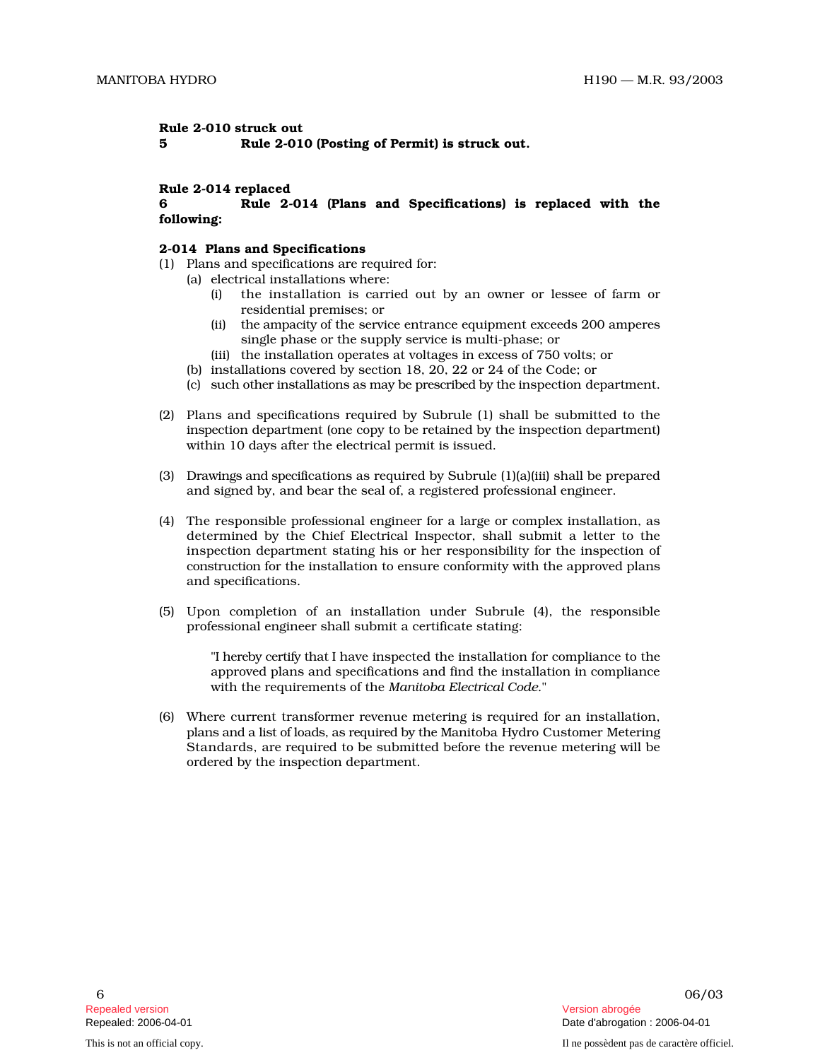### Rule 2-010 struck out

5 Rule 2-010 (Posting of Permit) is struck out.

#### Rule 2-014 replaced

6 19 Rule 2-014 (Plans and Specifications) is replaced with the following:

# 2-014 Plans and Specifications

- (1) Plans and specifications are required for:
	- (a) electrical installations where:
		- (i) the installation is carried out by an owner or lessee of farm or residential premises; or
		- (ii) the ampacity of the service entrance equipment exceeds 200 amperes single phase or the supply service is multi-phase; or
		- (iii) the installation operates at voltages in excess of 750 volts; or
	- (b) installations covered by section 18, 20, 22 or 24 of the Code; or
	- (c) such other installations as may be prescribed by the inspection department.
- (2) Plans and specifications required by Subrule (1) shall be submitted to the i n s p ection department (one copy to be retained by the inspection department) within 10 days after the electrical permit is issued.
- (3) D rawi n gs and s pec i fications as required by Subrule (1)(a)(iii) shall be prepared and signed by, and bear the seal of, a registered professional engineer.
- (4) The responsible professional engineer for a large or complex installation, as determined by the Chief Electrical Inspector, shall submit a letter to the inspection department stating his or her responsibility for the inspection of c o n s tru c ti o n for the installation to ensure conformity with the approved plans and specifications.
- (5) Upon completion of an installation under Subrule (4), the responsible professional engineer shall submit a certificate stating:

"I hereby certify that I have inspected the installation for compliance to the approved plans and specifications and find the installation in compliance with the requirements of the *Manitoba Electrical Code*."

(6) Where current transformer revenue metering is required for an installation, plans and a list of loads, as required by the Manitoba Hydro Customer Metering Standards, are required to be submitted before the revenue metering will be ordered by the inspection department.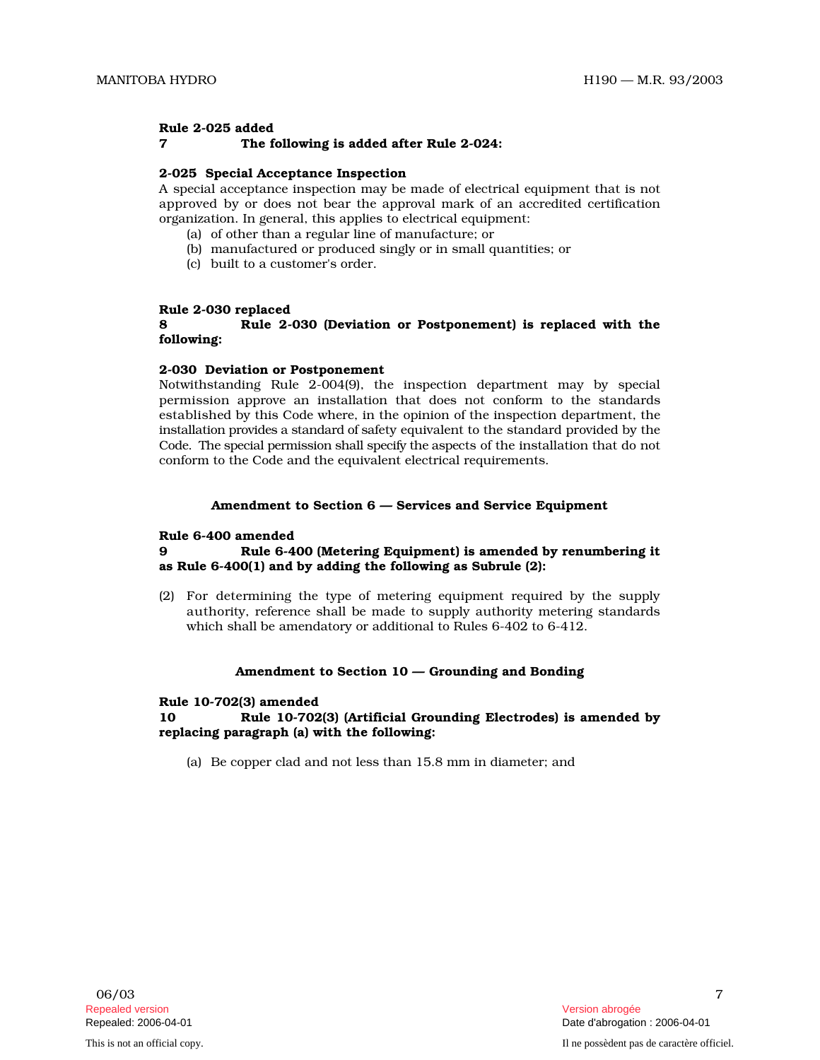## Rule 2-025 added

## 7 The following is added after Rule 2-024:

### 2-025 Special Acceptance Inspection

A special acceptance inspection may be made of electrical equipment that is not approved by or does not bear the approval mark of an accredited certification organization. In general, this applies to electrical equipment:

- (a) of other than a regular line of manufacture; or
- (b) manufactured or produced singly or in small quantities; or
- (c) built to a customer's order.

### Rule 2-030 replaced

8 Rule 2-030 (Deviation or Postponement) is replaced with the following:

### 2-030 Deviation or Postponement

Notwithstanding Rule 2-004(9), the inspection department may by special permission approve an installation that does not conform to the standards established by this Code where, in the opinion of the inspection department, the installation provides a standard of safety equivalent to the standard provided by the Code. The special permission shall specify the aspects of the installation that do not conform to the Code and the equivalent electrical requirements.

### Amendment to Section 6 — Services and Service Equipment

# Rule 6-400 amended

## 9 Rule 6-400 (Metering Equipment) is amended by renumbering it as Rule 6-400(1) and by adding the following as Subrule (2):

(2) For determining the type of metering equipment required by the supply authority, reference shall be made to supply authority metering standards which shall be amendatory or additional to Rules 6-402 to 6-412.

## Amendment to Section 10 — Grounding and Bonding

### Rule 10-702(3) amended

10 Rule 10-702(3) (Artificial Grounding Electrodes) is amended by replacing paragraph (a) with the following:

(a) Be copper clad and not less than 15.8 mm in diameter; and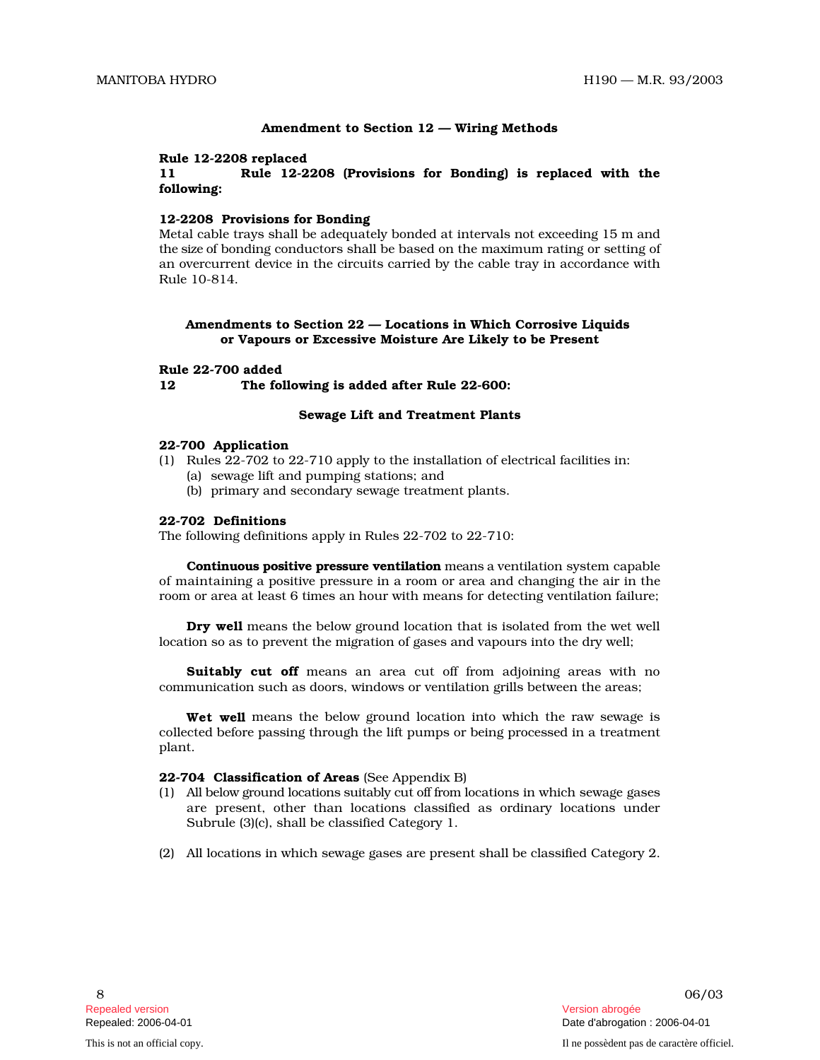## Amendment to Section 12 — Wiring Methods

## Rule 12-2208 replaced

#### 11 Rule 12-2208 (Provisions for Bonding) is replaced with the following:

## 12-2208 Provisions for Bonding

Metal cable trays shall be adequately bonded at intervals not exceeding 15 m and the s i ze of bonding conductors shall be based on the maximum rating or setting of an overcurrent device in the circuits carried by the cable tray in accordance with Rule 10-814.

## Amendments to Section 22 — Locations in Which Corrosive Liquids or Vapours or Excessive Moisture Are Likely to be Present

### Rule 22-700 added

### 12 The following is added after Rule 22-600:

#### Sewage Lift and Treatment Plants

#### 22-700 Application

- (1) Rules 22-702 to 22-710 apply to the installation of electrical facilities in: (a) sewage lift and pumping stations; and
	- (b) primary and secondary sewage treatment plants.

#### 22-702 Definitions

The following definitions apply in Rules 22-702 to 22-710:

Continuous positive pressure ventilation means a ventilation system capable of maintaining a positive pressure in a room or area and changing the air in the room or area at least 6 times an hour with means for detecting ventilation failure;

Dry well means the below ground location that is isolated from the wet well location so as to prevent the migration of gases and vapours into the dry well;

**Suitably cut off** means an area cut off from adjoining areas with no communication such as doors, windows or ventilation grills between the areas;

**Wet well** means the below ground location into which the raw sewage is collected before passing through the lift pumps or being processed in a treatment plant.

### 22-704 Classification of Areas (See Appendix B)

- (1) All below ground locations suitably cut off from locations in which sewage gases are present, other than locations classified as ordinary locations under Subrule (3)(c), shall be classified Category 1.
- (2) All locations in which sewage gases are present shall be classified Category 2.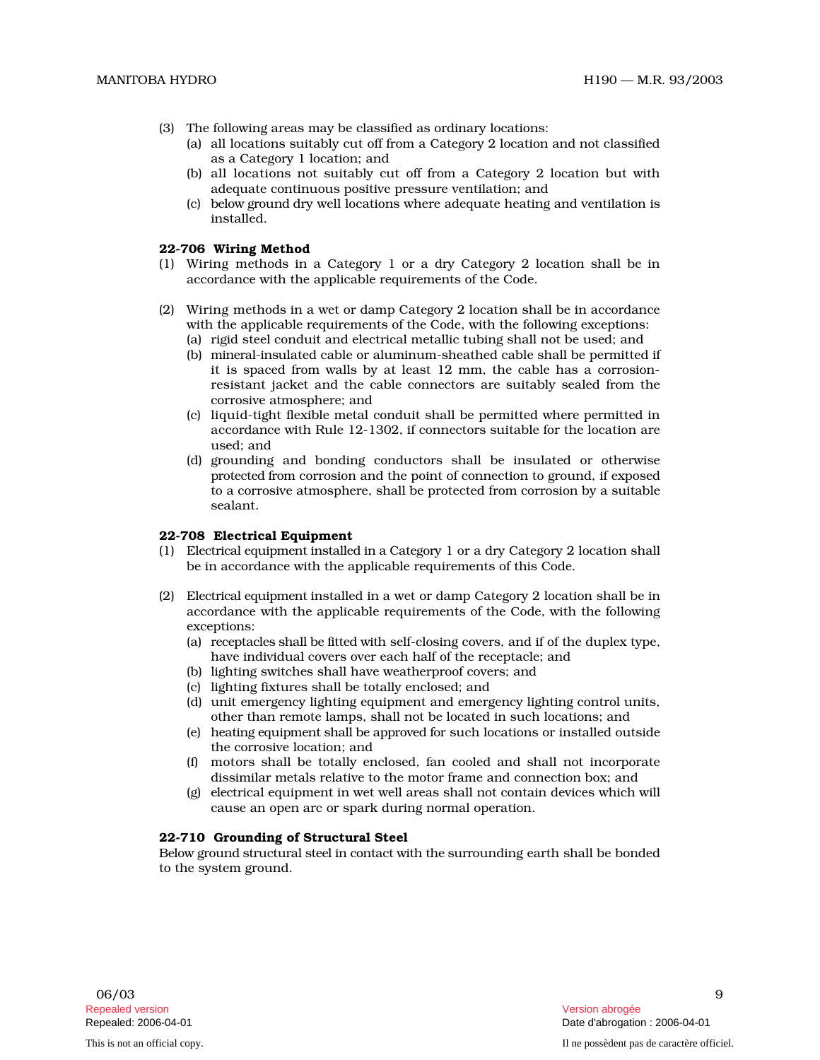- (3) The following areas may be classified as ordinary locations:
	- (a) all locations suitably cut off from a Category 2 location and not classified as a Category 1 location; and
	- (b) all locations not suitably cut off from a Category 2 location but with adequate continuous positive pressure ventilation; and
	- (c) b e l ow gr o u nd dry well locations where adequate heating and ventilation is installed.

## 22-706 Wiring Method

- (1) Wiring methods in a Category 1 or a dry Category 2 location shall be in accordance with the applicable requirements of the Code.
- (2) Wiring methods in a wet or damp Category 2 location shall be in accordance with the applicable requirements of the Code, with the following exceptions:
	- (a) rigid steel conduit and electrical metallic tubing shall not be used; and
	- (b) mineral-insulated cable or aluminum-sheathed cable shall be permitted if it is spaced from walls by at least 12 mm, the cable has a corrosionresistant jacket and the cable connectors are suitably sealed from the corrosive atmosphere; and
	- (c) liquid-tight flexible metal conduit shall be permitted where permitted in accordance with Rule 12-1302, if connectors suitable for the location are used; and
	- (d) grounding and bonding conductors shall be insulated or otherwise protected from corrosion and the point of connection to ground, if exposed to a corrosive atmosphere, shall be protected from corrosion by a suitable sealant.

## 22-708 Electrical Equipment

- (1) E lec tri c al e qu i p m e nt i n s t all ed in a C at e g o ry 1 or a dry Category 2 location shall be in accordance with the applicable requirements of this Code.
- (2) Electrical equipment installed in a wet or damp Category 2 location shall be in accordance with the applicable requirements of the Code, with the following exceptions:
	- (a) rece p t a c les s h all be fitt ed wi th self-closing covers, and if of the duplex type, have individual covers over each half of the receptacle; and
	- (b) lighting switches shall have weatherproof covers; and
	- (c) lighting fixtures shall be totally enclosed; and
	- (d) unit emergency lighting equipment and emergency lighting control units, other than remote lamps, shall not be located in such locations; and
	- (e) h e ati ng e qu i p m e nt s h all be app r oved for such locations or installed outside the corrosive location; and
	- (f) motors shall be totally enclosed, fan cooled and shall not incorporate dissimilar metals relative to the motor frame and connection box; and
	- (g) e lectrical equipment in wet well areas shall not contain devices which will cause an open arc or spark during normal operation.

### 22-710 Grounding of Structural Steel

Below ground structural steel in contact wi th the s urrounding earth shall be bonded to the system ground.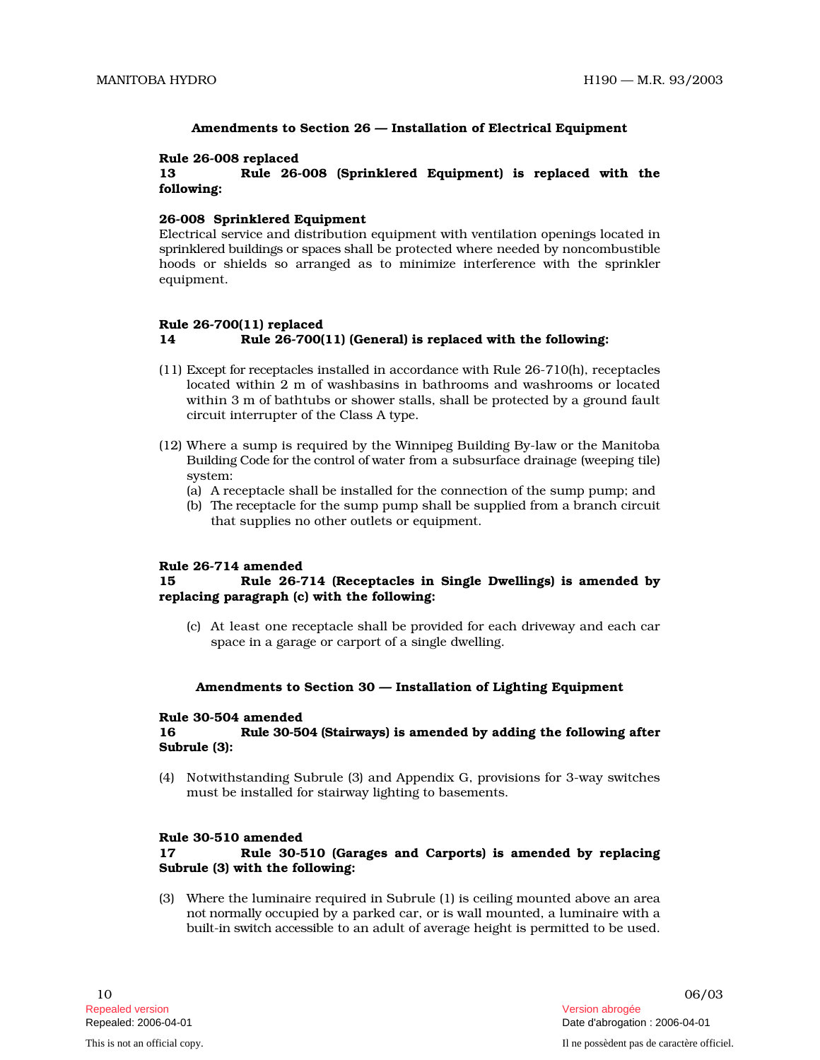## Amendments to Section 26 — Installation of Electrical Equipment

## Rule 26-008 replaced

# 13 Rule 26-008 (Sprinklered Equipment) is replaced with the following:

## 26-008 Sprinklered Equipment

Electrical service and distribution equipment with ventilation openings located in sprinklered buildings or spaces shall be protected where needed by noncombustible hoods or shields so arranged as to minimize interference with the sprinkler equipment.

### Rule 26-700(11) replaced 14 Rule 26-700(11) (General) is replaced with the following:

- (11) Exce pt for rece p t a c l es installed in accordance with Rule 26-710(h), receptacles located within 2 m of washbasins in bathrooms and washrooms or located within 3 m of bathtubs or shower stalls, shall be protected by a ground fault circuit interrupter of the Class A type.
- (12) Where a sump is required by the Winnipeg Building By-law or the Manitoba Building Code for the control of water from a subsurface drainage (weeping tile) system:
	- (a) A receptacle shall be installed for the connection of the sump pump; and
	- (b) The receptacle for the sump pump shall be supplied from a branch circuit that supplies no other outlets or equipment.

### Rule 26-714 amended

#### 15 Rule 26-714 (Receptacles in Single Dwellings) is amended by replacing paragraph (c) with the following:

(c) At least one receptacle shall be provided for each driveway and each car space in a garage or carport of a single dwelling.

### Amendments to Section 30 — Installation of Lighting Equipment

### Rule 30-504 amended

#### 16 Rule 30 -504 ( S t ai rways) is amended by adding the following after Subrule (3):

(4) Notwithstanding Subrule (3) and Appendix G, provisions for 3-way switches must be installed for stairway lighting to basements.

### Rule 30-510 amended

#### 17 Rule 30-510 (Garages and Carports) is amended by replacing Subrule (3) with the following:

(3) Wh ere the luminaire required in Subrule (1) is ceiling mounted above an area n ot n o rm ally occupied by a parked car, or is wall mounted, a luminaire with a built-in switch accessible to an adult of average height is permitted to be used.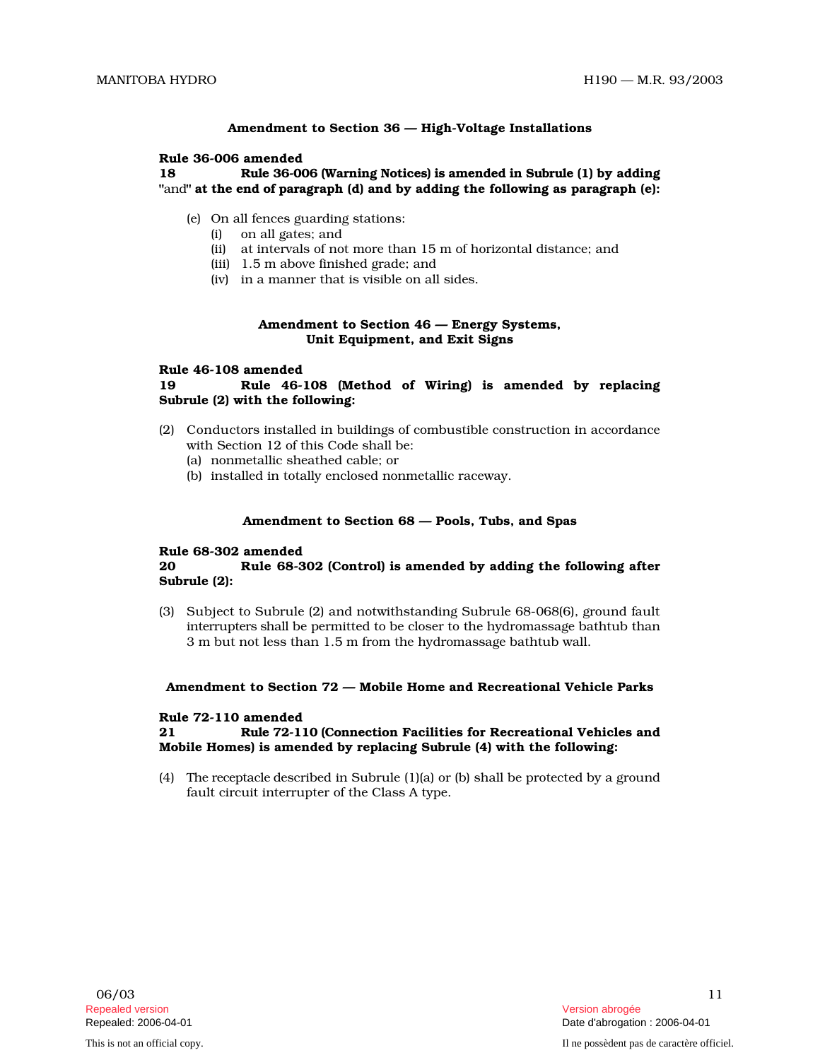# Amendment to Section 36 — High-Voltage Installations

## Rule 36-006 amended

#### 18 Rule 36-006 (Warning Notices) is amended in Subrule (1) by adding "and" at the end of paragraph (d) and by adding the following as paragraph (e):

- (e) On all fences guarding stations:
	- (i) on all gates; and
	- (ii) at intervals of not more than 15 m of horizontal distance; and
	- (iii) 1.5 m above finished grade; and
	- (iv) in a manner that is visible on all sides.

## Amendment to Section 46 — Energy Systems, Unit Equipment, and Exit Signs

## Rule 46-108 amended

# 19 Rule 46-108 (Method of Wiring) is amended by replacing Subrule (2) with the following:

- (2) Conductors installed in buildings of combustible construction in accordance with Section 12 of this Code shall be:
	- (a) nonmetallic sheathed cable; or
	- (b) installed in totally enclosed nonmetallic raceway.

## Amendment to Section 68 — Pools, Tubs, and Spas

### Rule 68-302 amended

#### $20$ Rule 68-302 (Control) is amended by adding the following after Subrule (2):

(3) Subject to Subrule (2) and notwithstanding Subrule 68-068(6), ground fault interrupters shall be permitted to be closer to the hydromassage bathtub than 3 m but not less than 1.5 m from the hydromassage bathtub wall.

## Amendment to Section 72 — Mobile Home and Recreational Vehicle Parks

### Rule 72-110 amended

#### 21 Rule 72 -110 ( C onnec t ion Facilities for Recreational Vehicles and Mobile Homes) is amended by replacing Subrule (4) with the following:

(4) The rece p t a c le described in Subrule (1)(a) or (b) shall be protected by a ground fault circuit interrupter of the Class A type.